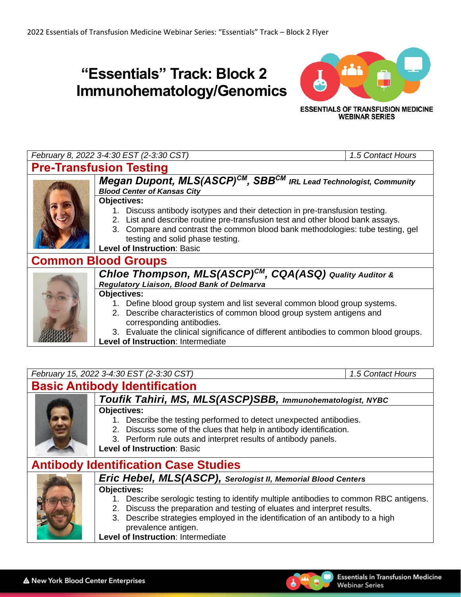## **"Essentials" Track: Block 2 Immunohematology/Genomics**



**ESSENTIALS OF TRANSFUSION MEDICINE WEBINAR SERIES** 



**Level of Instruction**: Intermediate

*February 15, 2022 3-4:30 EST (2-3:30 CST) 1.5 Contact Hours* **Basic Antibody Identification** *Toufik Tahiri, MS, MLS(ASCP)SBB, Immunohematologist, NYBC* **Objectives:**



- 1. Describe the testing performed to detect unexpected antibodies.
- 2. Discuss some of the clues that help in antibody identification.
- 3. Perform rule outs and interpret results of antibody panels.
- **Level of Instruction**: Basic

# **Antibody Identification Case Studies**



### *Eric Hebel, MLS(ASCP), Serologist II, Memorial Blood Centers*

#### **Objectives:**

- 1. Describe serologic testing to identify multiple antibodies to common RBC antigens.
- 2. Discuss the preparation and testing of eluates and interpret results.
- 3. Describe strategies employed in the identification of an antibody to a high prevalence antigen.

**Level of Instruction**: Intermediate